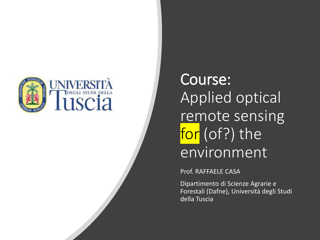

Course: Applied optical remote sensing for (of?) the environment

Prof. RAFFAELE CASA

Dipartimento di Scienze Agrarie e Forestali (Dafne), Università degli Studi della Tuscia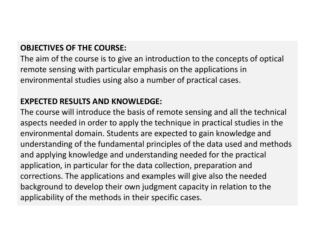### **OBJECTIVES OF THE COURSE:**

The aim of the course is to give an introduction to the concepts of optical remote sensing with particular emphasis on the applications in environmental studies using also a number of practical cases.

### **EXPECTED RESULTS AND KNOWLEDGE:**

The course will introduce the basis of remote sensing and all the technical aspects needed in order to apply the technique in practical studies in the environmental domain. Students are expected to gain knowledge and understanding of the fundamental principles of the data used and methods and applying knowledge and understanding needed for the practical application, in particular for the data collection, preparation and corrections. The applications and examples will give also the needed background to develop their own judgment capacity in relation to the applicability of the methods in their specific cases.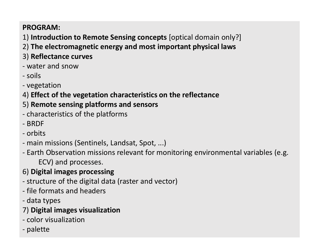### **PROGRAM:**

- 1) **Introduction to Remote Sensing concepts** [optical domain only?]
- 2) **The electromagnetic energy and most important physical laws**
- 3) **Reflectance curves**
- water and snow
- soils
- vegetation
- 4) **Effect of the vegetation characteristics on the reflectance**

### 5) **Remote sensing platforms and sensors**

- characteristics of the platforms
- BRDF
- orbits
- main missions (Sentinels, Landsat, Spot, ...)
- Earth Observation missions relevant for monitoring environmental variables (e.g. ECV) and processes.
- 6) **Digital images processing**
- structure of the digital data (raster and vector)
- file formats and headers
- data types

### 7) **Digital images visualization**

- color visualization
- palette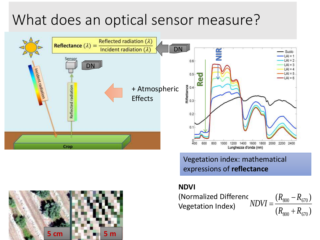# What does an optical sensor measure?



Vegetation index: mathematical expressions of **reflectance**

 $(R_{800} + R_{670})$ 

 $^{+}$ 

 $R_{\rm son} + R_{\rm e}$ 

 $R_{\rm 800} - R_{\rm e}$ 

=

 $800$   $^{14}$  670

 $(R_{800} - R_{670})$ 

−

800 670

#### **NDVI**

(Normalized Difference Vegetation Index) *NDVI*

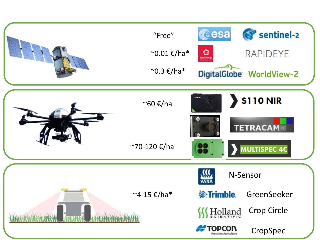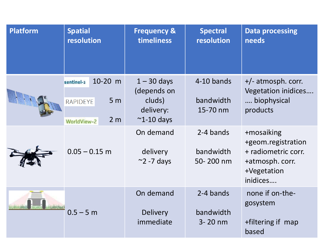| <b>Platform</b> | <b>Spatial</b><br>resolution                                                                | <b>Frequency &amp;</b><br>timeliness                                    | <b>Spectral</b><br>resolution       | <b>Data processing</b><br>needs                                                                       |
|-----------------|---------------------------------------------------------------------------------------------|-------------------------------------------------------------------------|-------------------------------------|-------------------------------------------------------------------------------------------------------|
|                 | 10-20 m<br>sentinel-2<br>5 <sub>m</sub><br><b>RAPIDEYE</b><br>2 <sub>m</sub><br>WorldView-2 | $1 - 30$ days<br>(depends on<br>cluds)<br>delivery:<br>$\sim$ 1-10 days | 4-10 bands<br>bandwidth<br>15-70 nm | +/- atmosph. corr.<br>Vegetation inidices<br>biophysical<br>products                                  |
|                 | $0.05 - 0.15$ m                                                                             | On demand<br>delivery<br>$\approx$ 2 -7 days                            | 2-4 bands<br>bandwidth<br>50-200 nm | +mosaiking<br>+geom.registration<br>+ radiometric corr.<br>+atmosph. corr.<br>+Vegetation<br>inidices |
|                 | $0.5 - 5 m$                                                                                 | On demand<br><b>Delivery</b><br>immediate                               | 2-4 bands<br>bandwidth<br>3-20 nm   | none if on-the-<br>gosystem<br>+filtering if map<br>based                                             |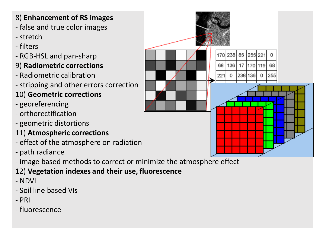### 8) **Enhancement of RS images**

- false and true color images
- stretch
- filters
- RGB-HSL and pan-sharp
- 9) **Radiometric corrections**
- Radiometric calibration
- stripping and other errors correction
- 10) **Geometric corrections**
- georeferencing
- orthorectification
- geometric distortions
- 11) **Atmospheric corrections**
- effect of the atmosphere on radiation
- path radiance
- image based methods to correct or minimize the atmosphere effect
- 12) **Vegetation indexes and their use, fluorescence**
- NDVI
- Soil line based VIs
- PRI
- fluorescence

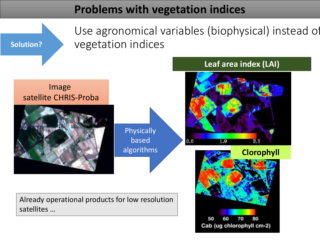# **Problems with vegetation indices**

**Solution?**

Use agronomical variables (biophysical) instead of vegetation indices

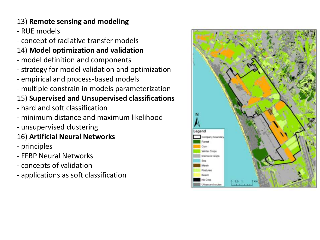### 13) **Remote sensing and modeling**

- RUE models

- concept of radiative transfer models

# 14) **Model optimization and validation**

- model definition and components
- strategy for model validation and optimization
- empirical and process-based models
- multiple constrain in models parameterization

# 15) **Supervised and Unsupervised classifications**

- hard and soft classification
- minimum distance and maximum likelihood
- unsupervised clustering

### 16) **Artificial Neural Networks**

- principles
- FFBP Neural Networks
- concepts of validation
- applications as soft classification

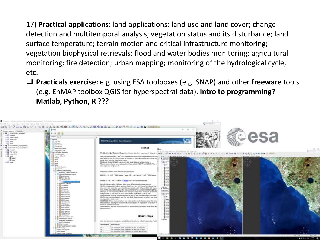17) **Practical applications**: land applications: land use and land cover; change detection and multitemporal analysis; vegetation status and its disturbance; land surface temperature; terrain motion and critical infrastructure monitoring; vegetation biophysical retrievals; flood and water bodies monitoring; agricultural monitoring; fire detection; urban mapping; monitoring of the hydrological cycle, etc.

❑ **Practicals exercise:** e.g. using ESA toolboxes (e.g. SNAP) and other **freeware** tools (e.g. EnMAP toolbox QGIS for hyperspectral data). **Intro to programming? Matlab, Python, R ???**

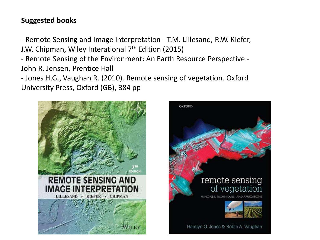### **Suggested books**

- Remote Sensing and Image Interpretation - T.M. Lillesand, R.W. Kiefer, J.W. Chipman, Wiley Interational 7<sup>th</sup> Edition (2015)

- Remote Sensing of the Environment: An Earth Resource Perspective - John R. Jensen, Prentice Hall

- Jones H.G., Vaughan R. (2010). Remote sensing of vegetation. Oxford University Press, Oxford (GB), 384 pp